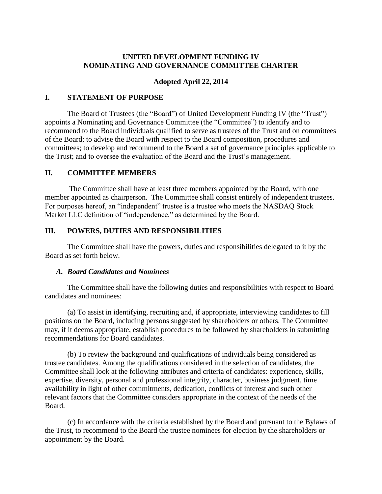# **UNITED DEVELOPMENT FUNDING IV NOMINATING AND GOVERNANCE COMMITTEE CHARTER**

# **Adopted April 22, 2014**

### **I. STATEMENT OF PURPOSE**

The Board of Trustees (the "Board") of United Development Funding IV (the "Trust") appoints a Nominating and Governance Committee (the "Committee") to identify and to recommend to the Board individuals qualified to serve as trustees of the Trust and on committees of the Board; to advise the Board with respect to the Board composition, procedures and committees; to develop and recommend to the Board a set of governance principles applicable to the Trust; and to oversee the evaluation of the Board and the Trust's management.

## **II. COMMITTEE MEMBERS**

The Committee shall have at least three members appointed by the Board, with one member appointed as chairperson. The Committee shall consist entirely of independent trustees. For purposes hereof, an "independent" trustee is a trustee who meets the NASDAQ Stock Market LLC definition of "independence," as determined by the Board.

#### **III. POWERS, DUTIES AND RESPONSIBILITIES**

The Committee shall have the powers, duties and responsibilities delegated to it by the Board as set forth below.

#### *A. Board Candidates and Nominees*

The Committee shall have the following duties and responsibilities with respect to Board candidates and nominees:

(a) To assist in identifying, recruiting and, if appropriate, interviewing candidates to fill positions on the Board, including persons suggested by shareholders or others. The Committee may, if it deems appropriate, establish procedures to be followed by shareholders in submitting recommendations for Board candidates.

(b) To review the background and qualifications of individuals being considered as trustee candidates. Among the qualifications considered in the selection of candidates, the Committee shall look at the following attributes and criteria of candidates: experience, skills, expertise, diversity, personal and professional integrity, character, business judgment, time availability in light of other commitments, dedication, conflicts of interest and such other relevant factors that the Committee considers appropriate in the context of the needs of the Board.

(c) In accordance with the criteria established by the Board and pursuant to the Bylaws of the Trust, to recommend to the Board the trustee nominees for election by the shareholders or appointment by the Board.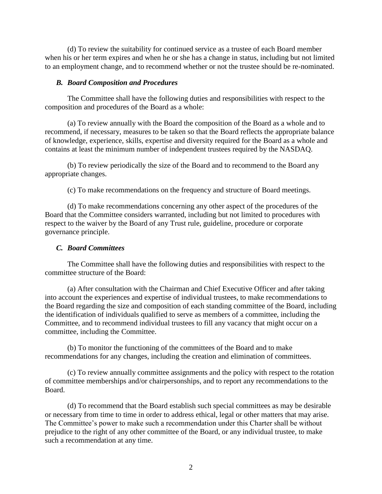(d) To review the suitability for continued service as a trustee of each Board member when his or her term expires and when he or she has a change in status, including but not limited to an employment change, and to recommend whether or not the trustee should be re-nominated.

#### *B. Board Composition and Procedures*

The Committee shall have the following duties and responsibilities with respect to the composition and procedures of the Board as a whole:

(a) To review annually with the Board the composition of the Board as a whole and to recommend, if necessary, measures to be taken so that the Board reflects the appropriate balance of knowledge, experience, skills, expertise and diversity required for the Board as a whole and contains at least the minimum number of independent trustees required by the NASDAQ.

(b) To review periodically the size of the Board and to recommend to the Board any appropriate changes.

(c) To make recommendations on the frequency and structure of Board meetings.

(d) To make recommendations concerning any other aspect of the procedures of the Board that the Committee considers warranted, including but not limited to procedures with respect to the waiver by the Board of any Trust rule, guideline, procedure or corporate governance principle.

### *C. Board Committees*

The Committee shall have the following duties and responsibilities with respect to the committee structure of the Board:

(a) After consultation with the Chairman and Chief Executive Officer and after taking into account the experiences and expertise of individual trustees, to make recommendations to the Board regarding the size and composition of each standing committee of the Board, including the identification of individuals qualified to serve as members of a committee, including the Committee, and to recommend individual trustees to fill any vacancy that might occur on a committee, including the Committee.

(b) To monitor the functioning of the committees of the Board and to make recommendations for any changes, including the creation and elimination of committees.

(c) To review annually committee assignments and the policy with respect to the rotation of committee memberships and/or chairpersonships, and to report any recommendations to the Board.

(d) To recommend that the Board establish such special committees as may be desirable or necessary from time to time in order to address ethical, legal or other matters that may arise. The Committee's power to make such a recommendation under this Charter shall be without prejudice to the right of any other committee of the Board, or any individual trustee, to make such a recommendation at any time.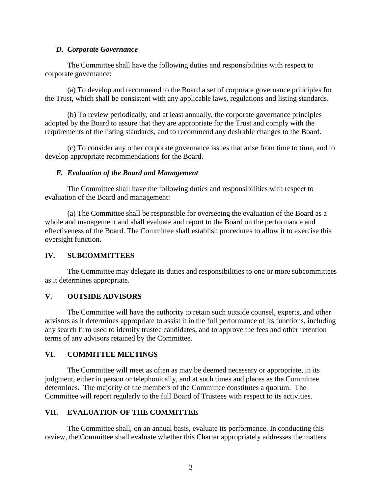### *D. Corporate Governance*

The Committee shall have the following duties and responsibilities with respect to corporate governance:

(a) To develop and recommend to the Board a set of corporate governance principles for the Trust, which shall be consistent with any applicable laws, regulations and listing standards.

(b) To review periodically, and at least annually, the corporate governance principles adopted by the Board to assure that they are appropriate for the Trust and comply with the requirements of the listing standards, and to recommend any desirable changes to the Board.

(c) To consider any other corporate governance issues that arise from time to time, and to develop appropriate recommendations for the Board.

#### *E. Evaluation of the Board and Management*

The Committee shall have the following duties and responsibilities with respect to evaluation of the Board and management:

(a) The Committee shall be responsible for overseeing the evaluation of the Board as a whole and management and shall evaluate and report to the Board on the performance and effectiveness of the Board. The Committee shall establish procedures to allow it to exercise this oversight function.

## **IV. SUBCOMMITTEES**

The Committee may delegate its duties and responsibilities to one or more subcommittees as it determines appropriate.

## **V. OUTSIDE ADVISORS**

The Committee will have the authority to retain such outside counsel, experts, and other advisors as it determines appropriate to assist it in the full performance of its functions, including any search firm used to identify trustee candidates, and to approve the fees and other retention terms of any advisors retained by the Committee.

#### **VI. COMMITTEE MEETINGS**

The Committee will meet as often as may be deemed necessary or appropriate, in its judgment, either in person or telephonically, and at such times and places as the Committee determines. The majority of the members of the Committee constitutes a quorum. The Committee will report regularly to the full Board of Trustees with respect to its activities.

## **VII. EVALUATION OF THE COMMITTEE**

The Committee shall, on an annual basis, evaluate its performance. In conducting this review, the Committee shall evaluate whether this Charter appropriately addresses the matters